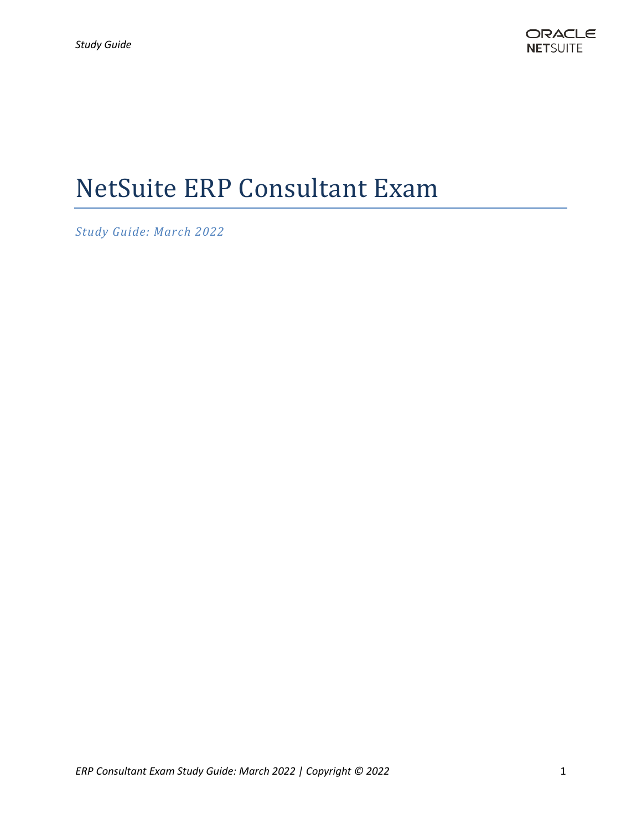# NetSuite ERP Consultant Exam

*Study Guide: March 2022*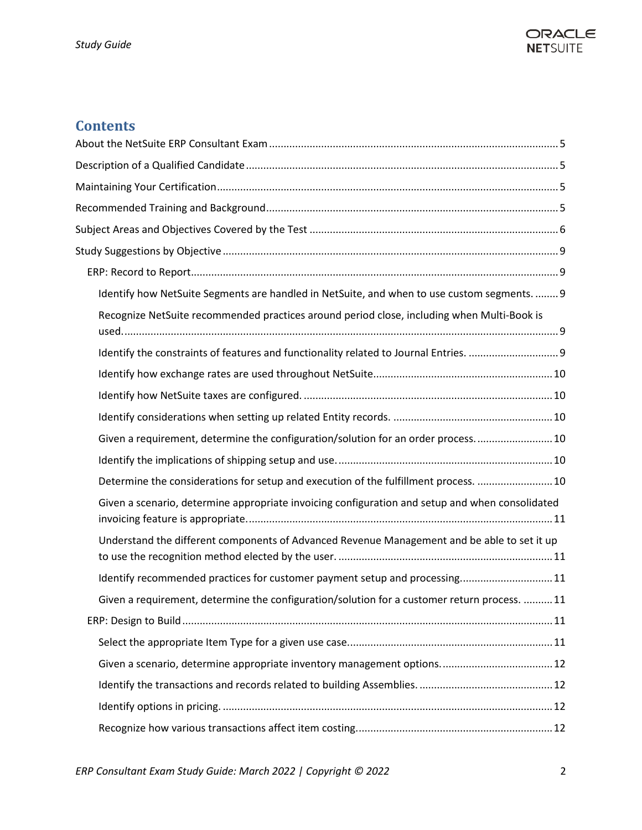

### **Contents**

| Identify how NetSuite Segments are handled in NetSuite, and when to use custom segments 9       |
|-------------------------------------------------------------------------------------------------|
| Recognize NetSuite recommended practices around period close, including when Multi-Book is      |
|                                                                                                 |
|                                                                                                 |
|                                                                                                 |
|                                                                                                 |
| Given a requirement, determine the configuration/solution for an order process 10               |
|                                                                                                 |
| Determine the considerations for setup and execution of the fulfillment process.  10            |
| Given a scenario, determine appropriate invoicing configuration and setup and when consolidated |
| Understand the different components of Advanced Revenue Management and be able to set it up     |
| Identify recommended practices for customer payment setup and processing11                      |
| Given a requirement, determine the configuration/solution for a customer return process.  11    |
|                                                                                                 |
|                                                                                                 |
|                                                                                                 |
|                                                                                                 |
|                                                                                                 |
|                                                                                                 |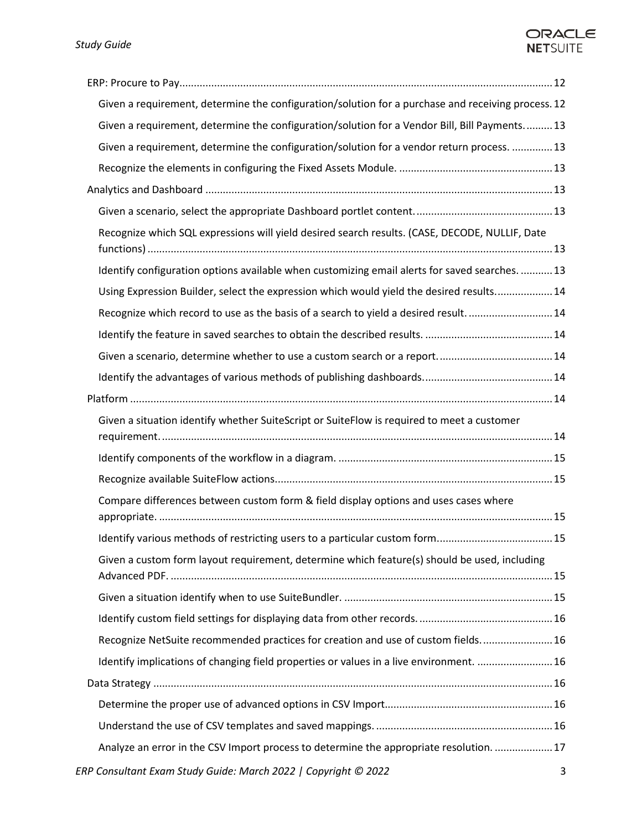### ORACLE **NETSUITE**

| Given a requirement, determine the configuration/solution for a purchase and receiving process. 12 |   |
|----------------------------------------------------------------------------------------------------|---|
| Given a requirement, determine the configuration/solution for a Vendor Bill, Bill Payments 13      |   |
| Given a requirement, determine the configuration/solution for a vendor return process.  13         |   |
|                                                                                                    |   |
|                                                                                                    |   |
|                                                                                                    |   |
| Recognize which SQL expressions will yield desired search results. (CASE, DECODE, NULLIF, Date     |   |
| Identify configuration options available when customizing email alerts for saved searches.  13     |   |
| Using Expression Builder, select the expression which would yield the desired results 14           |   |
| Recognize which record to use as the basis of a search to yield a desired result14                 |   |
|                                                                                                    |   |
|                                                                                                    |   |
|                                                                                                    |   |
|                                                                                                    |   |
| Given a situation identify whether SuiteScript or SuiteFlow is required to meet a customer         |   |
|                                                                                                    |   |
|                                                                                                    |   |
| Compare differences between custom form & field display options and uses cases where               |   |
|                                                                                                    |   |
| Given a custom form layout requirement, determine which feature(s) should be used, including       |   |
|                                                                                                    |   |
|                                                                                                    |   |
| Recognize NetSuite recommended practices for creation and use of custom fields 16                  |   |
| Identify implications of changing field properties or values in a live environment.  16            |   |
|                                                                                                    |   |
|                                                                                                    |   |
|                                                                                                    |   |
| Analyze an error in the CSV Import process to determine the appropriate resolution.  17            |   |
| ERP Consultant Exam Study Guide: March 2022   Copyright © 2022                                     | 3 |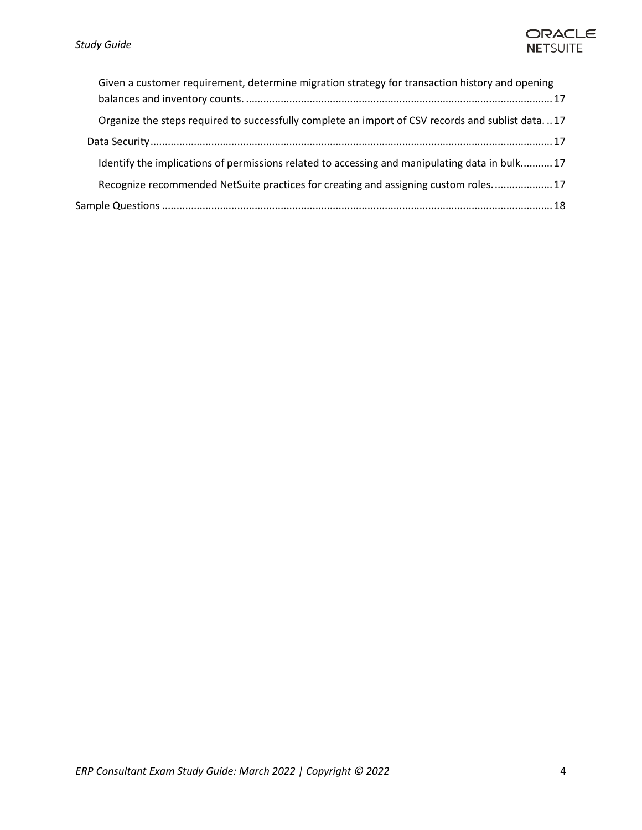

| Given a customer requirement, determine migration strategy for transaction history and opening   |
|--------------------------------------------------------------------------------------------------|
| Organize the steps required to successfully complete an import of CSV records and sublist data17 |
|                                                                                                  |
| Identify the implications of permissions related to accessing and manipulating data in bulk17    |
| Recognize recommended NetSuite practices for creating and assigning custom roles 17              |
|                                                                                                  |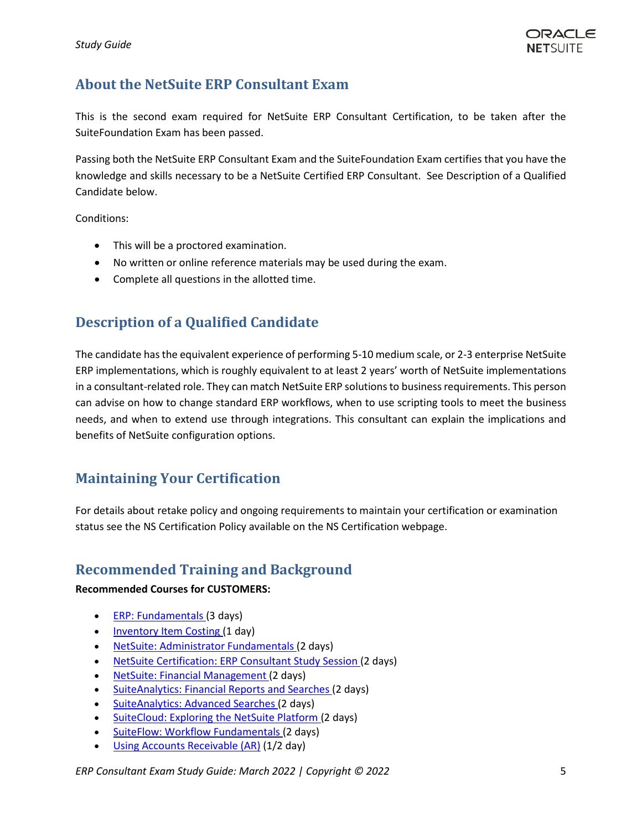### <span id="page-4-0"></span>**About the NetSuite ERP Consultant Exam**

This is the second exam required for NetSuite ERP Consultant Certification, to be taken after the SuiteFoundation Exam has been passed.

Passing both the NetSuite ERP Consultant Exam and the SuiteFoundation Exam certifies that you have the knowledge and skills necessary to be a NetSuite Certified ERP Consultant. See Description of a Qualified Candidate below.

Conditions:

- This will be a proctored examination.
- No written or online reference materials may be used during the exam.
- Complete all questions in the allotted time.

### <span id="page-4-1"></span>**Description of a Qualified Candidate**

The candidate has the equivalent experience of performing 5-10 medium scale, or 2-3 enterprise NetSuite ERP implementations, which is roughly equivalent to at least 2 years' worth of NetSuite implementations in a consultant-related role. They can match NetSuite ERP solutions to business requirements. This person can advise on how to change standard ERP workflows, when to use scripting tools to meet the business needs, and when to extend use through integrations. This consultant can explain the implications and benefits of NetSuite configuration options.

### <span id="page-4-2"></span>**Maintaining Your Certification**

For details about retake policy and ongoing requirements to maintain your certification or examination status see the NS Certification Policy available on the NS Certification webpage.

### <span id="page-4-3"></span>**Recommended Training and Background**

### **Recommended Courses for CUSTOMERS:**

- [ERP: Fundamentals](https://www.netsuite.com/portal/services/training/suite-training/description-erp-fundamentals.shtml) (3 days)
- [Inventory Item Costing](https://www.netsuite.com/portal/services/training/suite-training/inventory-item-costing.shtml) (1 day)
- [NetSuite: Administrator Fundamentals](https://www.netsuite.com/portal/services/training/suite-training/description-administrator-fundamentals.shtml) (2 days)
- [NetSuite Certification: ERP Consultant Study Session](http://www.netsuite.com/portal/services/training/description-erp-consultant.shtml) (2 days)
- [NetSuite: Financial Management](http://www.netsuite.com/portal/services/training/finance-fundamentals.shtml) (2 days)
- [SuiteAnalytics: Financial Reports and Searches](http://www.netsuite.com/portal/services/training/description-suite-analytics-financial-report.shtml) (2 days)
- [SuiteAnalytics: Advanced Searches](http://www.netsuite.com/portal/services/training/description-suite-analytics-advanced-searches.shtml) (2 days)
- [SuiteCloud: Exploring the NetSuite Platform](http://www.netsuite.com/portal/services/training/description-suitecloud-exploring-the-netsuite-platform.shtml) (2 days)
- [SuiteFlow: Workflow Fundamentals](http://www.netsuite.com/portal/services/training/description-suiteflow-workflow-fundamentals.shtml) (2 days)
- [Using Accounts Receivable \(AR\)](https://www.netsuite.com/portal/services/training/suite-training/using-accounts-receivable.shtml) (1/2 day)

*ERP Consultant Exam Study Guide: March 2022 | Copyright © 2022* 5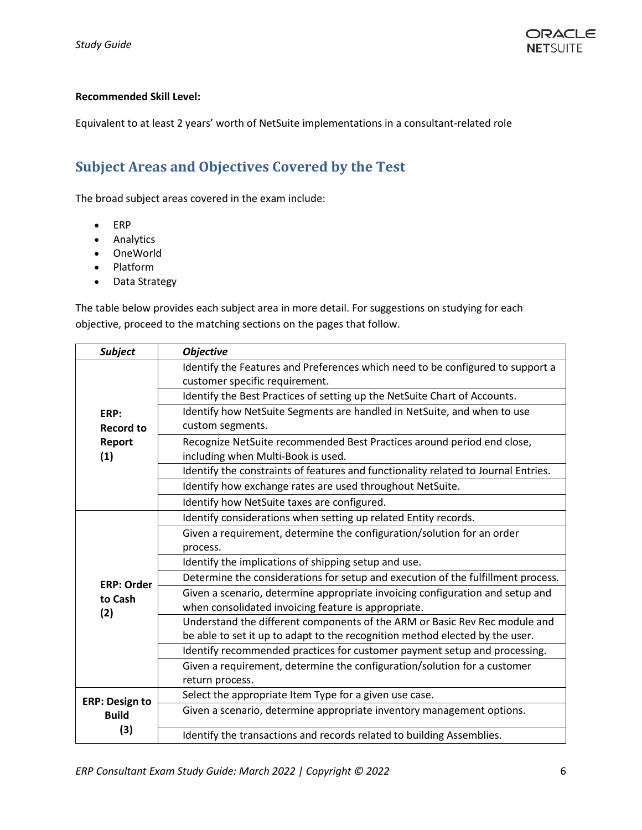### **Recommended Skill Level:**

Equivalent to at least 2 years' worth of NetSuite implementations in a consultant-related role

### <span id="page-5-0"></span>**Subject Areas and Objectives Covered by the Test**

The broad subject areas covered in the exam include:

- ERP
- Analytics
- OneWorld
- Platform
- Data Strategy

The table below provides each subject area in more detail. For suggestions on studying for each objective, proceed to the matching sections on the pages that follow.

| <b>Subject</b>                    | <b>Objective</b>                                                                                                                     |
|-----------------------------------|--------------------------------------------------------------------------------------------------------------------------------------|
|                                   | Identify the Features and Preferences which need to be configured to support a                                                       |
|                                   | customer specific requirement.                                                                                                       |
|                                   | Identify the Best Practices of setting up the NetSuite Chart of Accounts.                                                            |
| ERP:                              | Identify how NetSuite Segments are handled in NetSuite, and when to use                                                              |
| <b>Record to</b><br>Report<br>(1) | custom segments.                                                                                                                     |
|                                   | Recognize NetSuite recommended Best Practices around period end close,<br>including when Multi-Book is used.                         |
|                                   | Identify the constraints of features and functionality related to Journal Entries.                                                   |
|                                   | Identify how exchange rates are used throughout NetSuite.                                                                            |
|                                   | Identify how NetSuite taxes are configured.                                                                                          |
|                                   | Identify considerations when setting up related Entity records.                                                                      |
|                                   | Given a requirement, determine the configuration/solution for an order                                                               |
|                                   | process.                                                                                                                             |
|                                   | Identify the implications of shipping setup and use.                                                                                 |
| <b>ERP: Order</b>                 | Determine the considerations for setup and execution of the fulfillment process.                                                     |
| to Cash<br>(2)                    | Given a scenario, determine appropriate invoicing configuration and setup and<br>when consolidated invoicing feature is appropriate. |
|                                   | Understand the different components of the ARM or Basic Rev Rec module and                                                           |
|                                   | be able to set it up to adapt to the recognition method elected by the user.                                                         |
|                                   | Identify recommended practices for customer payment setup and processing.                                                            |
|                                   | Given a requirement, determine the configuration/solution for a customer                                                             |
|                                   | return process.                                                                                                                      |
| <b>ERP: Design to</b>             | Select the appropriate Item Type for a given use case.                                                                               |
| <b>Build</b>                      | Given a scenario, determine appropriate inventory management options.                                                                |
| (3)                               | Identify the transactions and records related to building Assemblies.                                                                |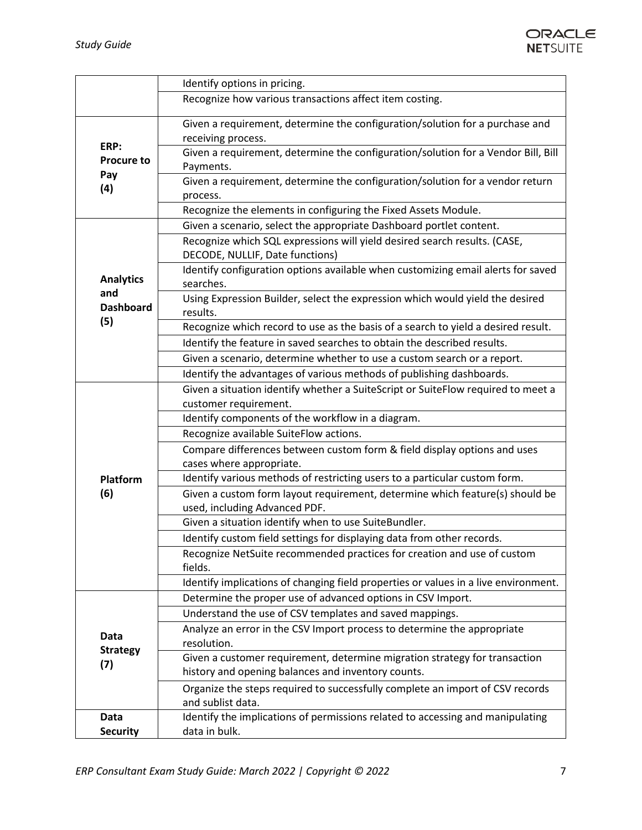

|                                             | Identify options in pricing.                                                                                  |
|---------------------------------------------|---------------------------------------------------------------------------------------------------------------|
|                                             | Recognize how various transactions affect item costing.                                                       |
|                                             | Given a requirement, determine the configuration/solution for a purchase and                                  |
| ERP:                                        | receiving process.                                                                                            |
| <b>Procure to</b>                           | Given a requirement, determine the configuration/solution for a Vendor Bill, Bill                             |
| Pay                                         | Payments.                                                                                                     |
| (4)                                         | Given a requirement, determine the configuration/solution for a vendor return                                 |
|                                             | process.                                                                                                      |
|                                             | Recognize the elements in configuring the Fixed Assets Module.                                                |
|                                             | Given a scenario, select the appropriate Dashboard portlet content.                                           |
|                                             | Recognize which SQL expressions will yield desired search results. (CASE,                                     |
|                                             | DECODE, NULLIF, Date functions)                                                                               |
| <b>Analytics</b><br>and<br><b>Dashboard</b> | Identify configuration options available when customizing email alerts for saved<br>searches.                 |
|                                             | Using Expression Builder, select the expression which would yield the desired<br>results.                     |
| (5)                                         | Recognize which record to use as the basis of a search to yield a desired result.                             |
|                                             | Identify the feature in saved searches to obtain the described results.                                       |
|                                             | Given a scenario, determine whether to use a custom search or a report.                                       |
|                                             | Identify the advantages of various methods of publishing dashboards.                                          |
|                                             | Given a situation identify whether a SuiteScript or SuiteFlow required to meet a                              |
|                                             | customer requirement.                                                                                         |
|                                             | Identify components of the workflow in a diagram.                                                             |
|                                             | Recognize available SuiteFlow actions.                                                                        |
|                                             | Compare differences between custom form & field display options and uses                                      |
|                                             | cases where appropriate.                                                                                      |
| Platform                                    | Identify various methods of restricting users to a particular custom form.                                    |
| (6)                                         | Given a custom form layout requirement, determine which feature(s) should be<br>used, including Advanced PDF. |
|                                             | Given a situation identify when to use SuiteBundler.                                                          |
|                                             | Identify custom field settings for displaying data from other records.                                        |
|                                             | Recognize NetSuite recommended practices for creation and use of custom<br>fields.                            |
|                                             | Identify implications of changing field properties or values in a live environment.                           |
|                                             | Determine the proper use of advanced options in CSV Import.                                                   |
|                                             | Understand the use of CSV templates and saved mappings.                                                       |
|                                             | Analyze an error in the CSV Import process to determine the appropriate                                       |
| Data                                        | resolution.                                                                                                   |
| <b>Strategy</b>                             | Given a customer requirement, determine migration strategy for transaction                                    |
| (7)                                         | history and opening balances and inventory counts.                                                            |
|                                             | Organize the steps required to successfully complete an import of CSV records                                 |
|                                             | and sublist data.                                                                                             |
| Data                                        | Identify the implications of permissions related to accessing and manipulating                                |
| <b>Security</b>                             | data in bulk.                                                                                                 |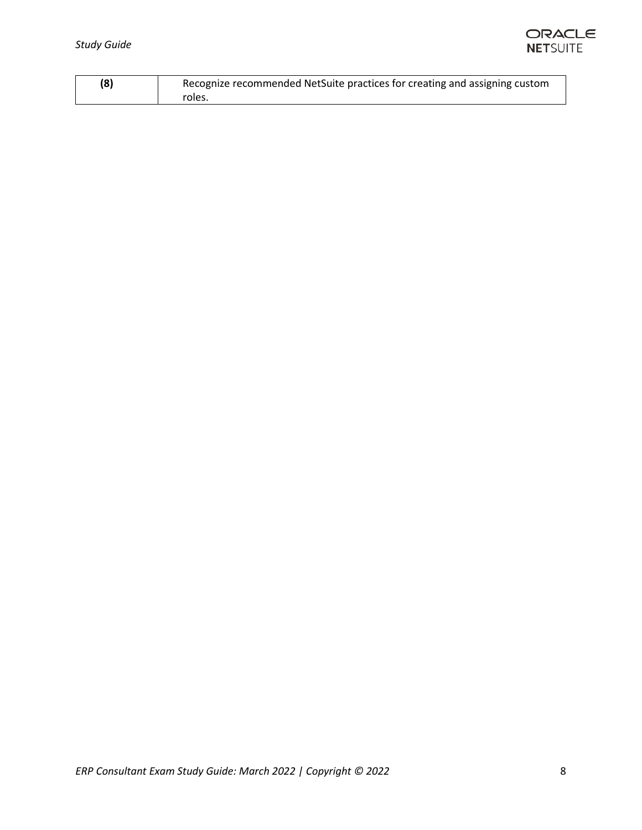

| (8) | Recognize recommended NetSuite practices for creating and assigning custom |
|-----|----------------------------------------------------------------------------|
|     | roles.                                                                     |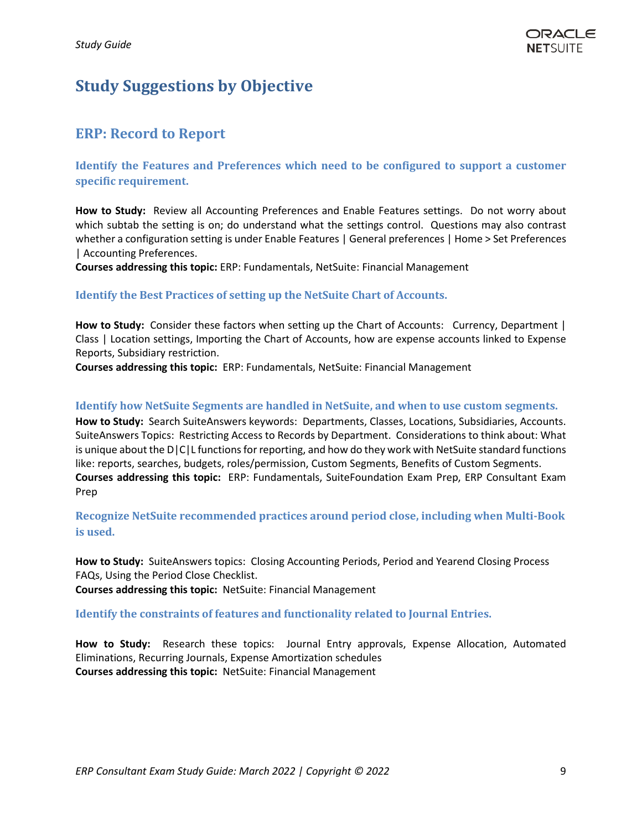## <span id="page-8-0"></span>**Study Suggestions by Objective**

### <span id="page-8-1"></span>**ERP: Record to Report**

**Identify the Features and Preferences which need to be configured to support a customer specific requirement.**

**How to Study:** Review all Accounting Preferences and Enable Features settings. Do not worry about which subtab the setting is on; do understand what the settings control. Questions may also contrast whether a configuration setting is under Enable Features | General preferences | Home > Set Preferences | Accounting Preferences.

**Courses addressing this topic:** ERP: Fundamentals, NetSuite: Financial Management

### **Identify the Best Practices of setting up the NetSuite Chart of Accounts.**

**How to Study:** Consider these factors when setting up the Chart of Accounts: Currency, Department | Class | Location settings, Importing the Chart of Accounts, how are expense accounts linked to Expense Reports, Subsidiary restriction.

**Courses addressing this topic:** ERP: Fundamentals, NetSuite: Financial Management

### <span id="page-8-2"></span>**Identify how NetSuite Segments are handled in NetSuite, and when to use custom segments.**

**How to Study:** Search SuiteAnswers keywords: Departments, Classes, Locations, Subsidiaries, Accounts. SuiteAnswers Topics: Restricting Access to Records by Department. Considerations to think about: What is unique about the D|C|L functions for reporting, and how do they work with NetSuite standard functions like: reports, searches, budgets, roles/permission, Custom Segments, Benefits of Custom Segments. **Courses addressing this topic:** ERP: Fundamentals, SuiteFoundation Exam Prep, ERP Consultant Exam Prep

<span id="page-8-3"></span>**Recognize NetSuite recommended practices around period close, including when Multi-Book is used.** 

**How to Study:** SuiteAnswers topics: Closing Accounting Periods, Period and Yearend Closing Process FAQs, Using the Period Close Checklist.

<span id="page-8-4"></span>**Courses addressing this topic:** NetSuite: Financial Management

**Identify the constraints of features and functionality related to Journal Entries.**

**How to Study:** Research these topics: Journal Entry approvals, Expense Allocation, Automated Eliminations, Recurring Journals, Expense Amortization schedules **Courses addressing this topic:** NetSuite: Financial Management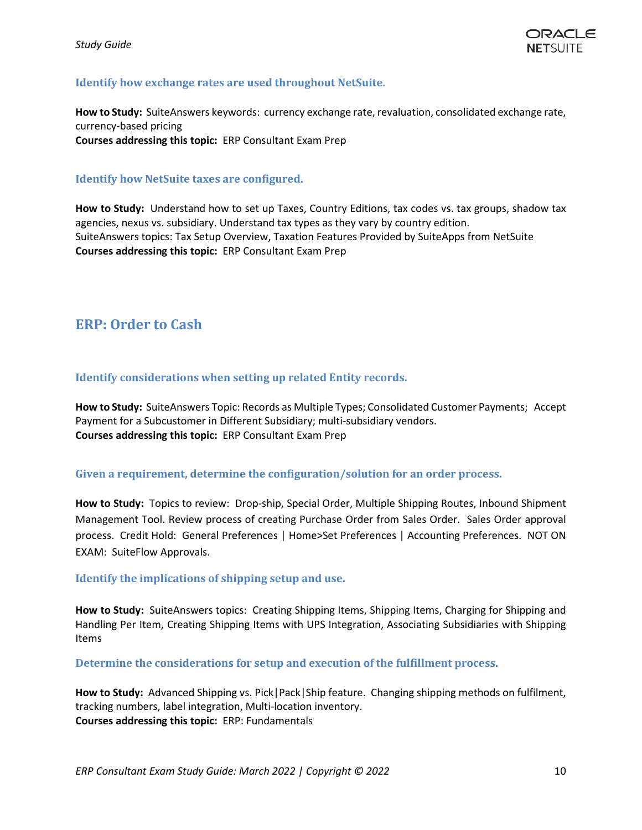### <span id="page-9-0"></span>**Identify how exchange rates are used throughout NetSuite.**

**How to Study:** SuiteAnswers keywords: currency exchange rate, revaluation, consolidated exchange rate, currency-based pricing **Courses addressing this topic:** ERP Consultant Exam Prep

### <span id="page-9-1"></span>**Identify how NetSuite taxes are configured.**

**How to Study:** Understand how to set up Taxes, Country Editions, tax codes vs. tax groups, shadow tax agencies, nexus vs. subsidiary. Understand tax types as they vary by country edition. SuiteAnswers topics: Tax Setup Overview, Taxation Features Provided by SuiteApps from NetSuite **Courses addressing this topic:** ERP Consultant Exam Prep

### **ERP: Order to Cash**

### <span id="page-9-2"></span>**Identify considerations when setting up related Entity records.**

**How to Study:** SuiteAnswers Topic: Records as Multiple Types; Consolidated Customer Payments; Accept Payment for a Subcustomer in Different Subsidiary; multi-subsidiary vendors. **Courses addressing this topic:** ERP Consultant Exam Prep

### <span id="page-9-3"></span>**Given a requirement, determine the configuration/solution for an order process.**

**How to Study:** Topics to review: Drop-ship, Special Order, Multiple Shipping Routes, Inbound Shipment Management Tool. Review process of creating Purchase Order from Sales Order. Sales Order approval process. Credit Hold: General Preferences | Home>Set Preferences | Accounting Preferences. NOT ON EXAM: SuiteFlow Approvals.

### <span id="page-9-4"></span>**Identify the implications of shipping setup and use.**

**How to Study:** SuiteAnswers topics: Creating Shipping Items, Shipping Items, Charging for Shipping and Handling Per Item, Creating Shipping Items with UPS Integration, Associating Subsidiaries with Shipping Items

<span id="page-9-5"></span>**Determine the considerations for setup and execution of the fulfillment process.**

**How to Study:** Advanced Shipping vs. Pick|Pack|Ship feature. Changing shipping methods on fulfilment, tracking numbers, label integration, Multi-location inventory. **Courses addressing this topic:** ERP: Fundamentals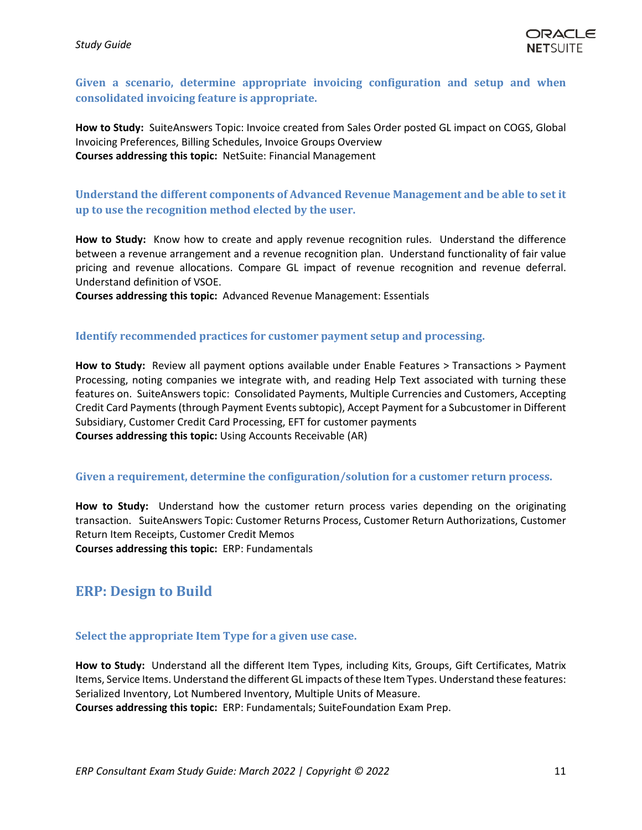### <span id="page-10-0"></span>**Given a scenario, determine appropriate invoicing configuration and setup and when consolidated invoicing feature is appropriate.**

**How to Study:** SuiteAnswers Topic: Invoice created from Sales Order posted GL impact on COGS, Global Invoicing Preferences, Billing Schedules, Invoice Groups Overview **Courses addressing this topic:** NetSuite: Financial Management

### <span id="page-10-1"></span>**Understand the different components of Advanced Revenue Management and be able to set it up to use the recognition method elected by the user.**

**How to Study:** Know how to create and apply revenue recognition rules. Understand the difference between a revenue arrangement and a revenue recognition plan. Understand functionality of fair value pricing and revenue allocations. Compare GL impact of revenue recognition and revenue deferral. Understand definition of VSOE.

**Courses addressing this topic:** Advanced Revenue Management: Essentials

#### <span id="page-10-2"></span>**Identify recommended practices for customer payment setup and processing.**

**How to Study:** Review all payment options available under Enable Features > Transactions > Payment Processing, noting companies we integrate with, and reading Help Text associated with turning these features on. SuiteAnswers topic: Consolidated Payments, Multiple Currencies and Customers, Accepting Credit Card Payments (through Payment Events subtopic), Accept Payment for a Subcustomer in Different Subsidiary, Customer Credit Card Processing, EFT for customer payments **Courses addressing this topic:** Using Accounts Receivable (AR)

### <span id="page-10-3"></span>**Given a requirement, determine the configuration/solution for a customer return process.**

**How to Study:** Understand how the customer return process varies depending on the originating transaction. SuiteAnswers Topic: Customer Returns Process, Customer Return Authorizations, Customer Return Item Receipts, Customer Credit Memos **Courses addressing this topic:** ERP: Fundamentals

### <span id="page-10-4"></span>**ERP: Design to Build**

### <span id="page-10-5"></span>**Select the appropriate Item Type for a given use case.**

**How to Study:** Understand all the different Item Types, including Kits, Groups, Gift Certificates, Matrix Items, Service Items. Understand the different GL impacts of these Item Types. Understand these features: Serialized Inventory, Lot Numbered Inventory, Multiple Units of Measure.

**Courses addressing this topic:** ERP: Fundamentals; SuiteFoundation Exam Prep.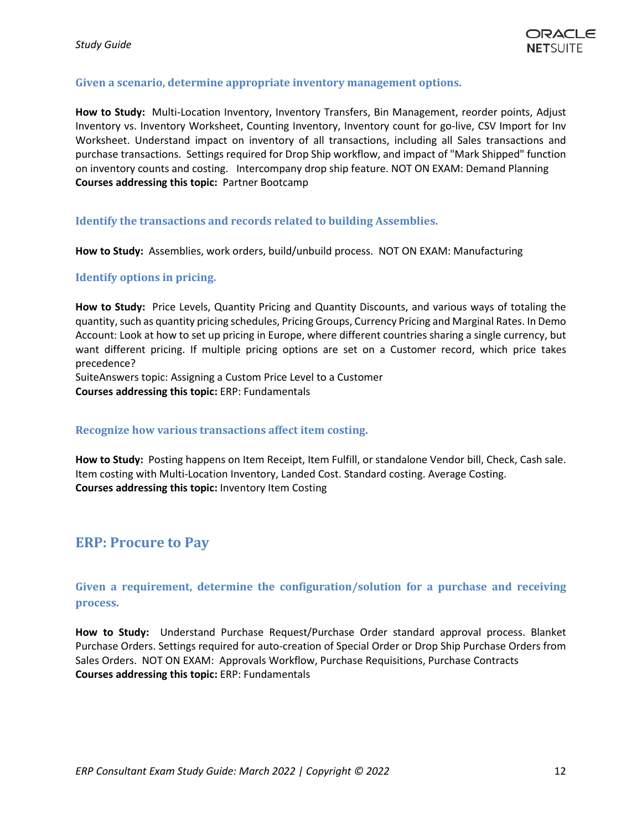### <span id="page-11-0"></span>**Given a scenario, determine appropriate inventory management options.**

**How to Study:** Multi-Location Inventory, Inventory Transfers, Bin Management, reorder points, Adjust Inventory vs. Inventory Worksheet, Counting Inventory, Inventory count for go-live, CSV Import for Inv Worksheet. Understand impact on inventory of all transactions, including all Sales transactions and purchase transactions. Settings required for Drop Ship workflow, and impact of "Mark Shipped" function on inventory counts and costing. Intercompany drop ship feature. NOT ON EXAM: Demand Planning **Courses addressing this topic:** Partner Bootcamp

#### <span id="page-11-1"></span>**Identify the transactions and records related to building Assemblies.**

**How to Study:** Assemblies, work orders, build/unbuild process. NOT ON EXAM: Manufacturing

#### <span id="page-11-2"></span>**Identify options in pricing.**

**How to Study:** Price Levels, Quantity Pricing and Quantity Discounts, and various ways of totaling the quantity, such as quantity pricing schedules, Pricing Groups, Currency Pricing and Marginal Rates. In Demo Account: Look at how to set up pricing in Europe, where different countries sharing a single currency, but want different pricing. If multiple pricing options are set on a Customer record, which price takes precedence?

SuiteAnswers topic: Assigning a Custom Price Level to a Customer **Courses addressing this topic:** ERP: Fundamentals

#### <span id="page-11-3"></span>**Recognize how various transactions affect item costing.**

**How to Study:** Posting happens on Item Receipt, Item Fulfill, or standalone Vendor bill, Check, Cash sale. Item costing with Multi-Location Inventory, Landed Cost. Standard costing. Average Costing. **Courses addressing this topic:** Inventory Item Costing

### <span id="page-11-4"></span>**ERP: Procure to Pay**

<span id="page-11-5"></span>**Given a requirement, determine the configuration/solution for a purchase and receiving process.**

**How to Study:** Understand Purchase Request/Purchase Order standard approval process. Blanket Purchase Orders. Settings required for auto-creation of Special Order or Drop Ship Purchase Orders from Sales Orders. NOT ON EXAM: Approvals Workflow, Purchase Requisitions, Purchase Contracts **Courses addressing this topic:** ERP: Fundamentals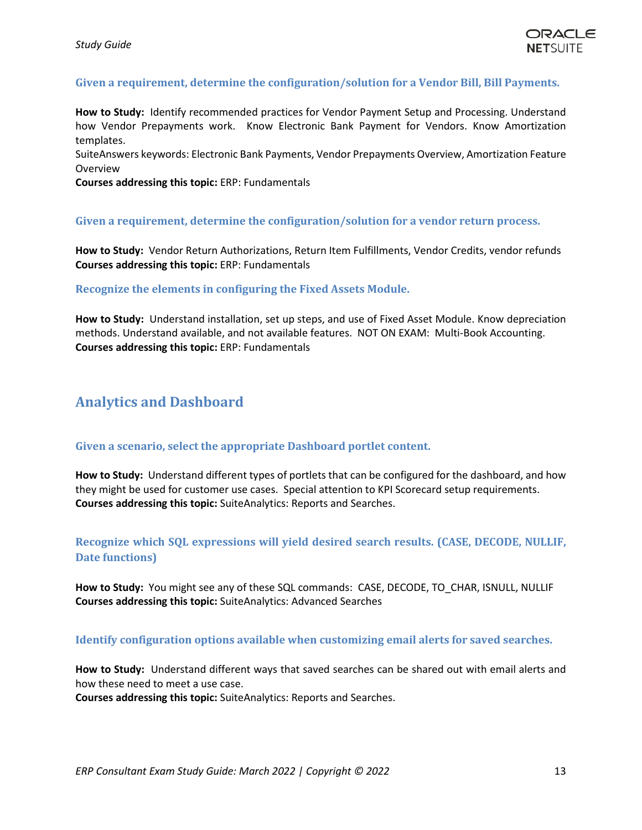### <span id="page-12-0"></span>**Given a requirement, determine the configuration/solution for a Vendor Bill, Bill Payments.**

**How to Study:** Identify recommended practices for Vendor Payment Setup and Processing. Understand how Vendor Prepayments work. Know Electronic Bank Payment for Vendors. Know Amortization templates.

SuiteAnswers keywords: Electronic Bank Payments, Vendor Prepayments Overview, Amortization Feature Overview

**Courses addressing this topic:** ERP: Fundamentals

#### <span id="page-12-1"></span>**Given a requirement, determine the configuration/solution for a vendor return process.**

**How to Study:** Vendor Return Authorizations, Return Item Fulfillments, Vendor Credits, vendor refunds **Courses addressing this topic:** ERP: Fundamentals

#### <span id="page-12-2"></span>**Recognize the elements in configuring the Fixed Assets Module.**

**How to Study:** Understand installation, set up steps, and use of Fixed Asset Module. Know depreciation methods. Understand available, and not available features. NOT ON EXAM: Multi-Book Accounting. **Courses addressing this topic:** ERP: Fundamentals

### <span id="page-12-3"></span>**Analytics and Dashboard**

#### <span id="page-12-4"></span>**Given a scenario, select the appropriate Dashboard portlet content.**

**How to Study:** Understand different types of portlets that can be configured for the dashboard, and how they might be used for customer use cases. Special attention to KPI Scorecard setup requirements. **Courses addressing this topic:** SuiteAnalytics: Reports and Searches.

### <span id="page-12-5"></span>**Recognize which SQL expressions will yield desired search results. (CASE, DECODE, NULLIF, Date functions)**

**How to Study:** You might see any of these SQL commands: CASE, DECODE, TO\_CHAR, ISNULL, NULLIF **Courses addressing this topic:** SuiteAnalytics: Advanced Searches

### <span id="page-12-6"></span>**Identify configuration options available when customizing email alerts for saved searches.**

**How to Study:** Understand different ways that saved searches can be shared out with email alerts and how these need to meet a use case.

**Courses addressing this topic:** SuiteAnalytics: Reports and Searches.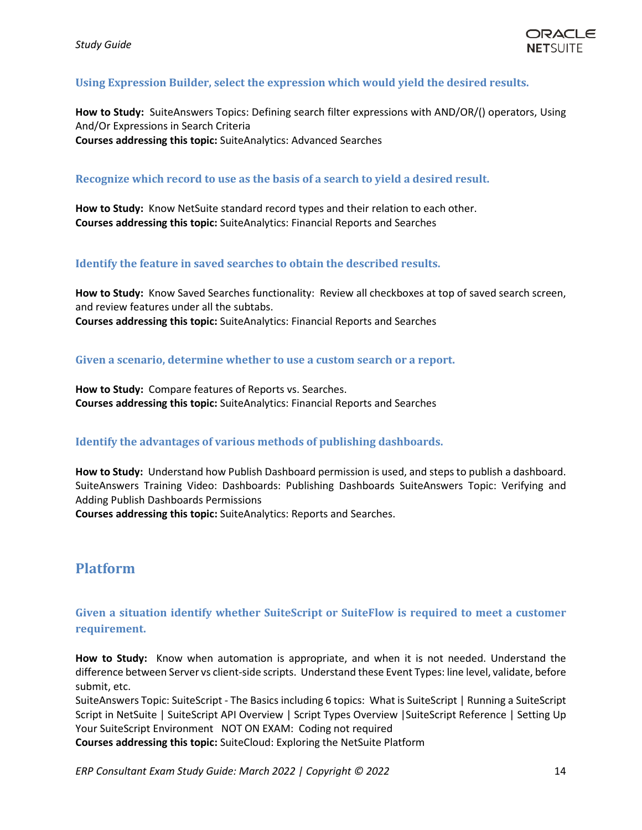### <span id="page-13-0"></span>**Using Expression Builder, select the expression which would yield the desired results.**

**How to Study:** SuiteAnswers Topics: Defining search filter expressions with AND/OR/() operators, Using And/Or Expressions in Search Criteria **Courses addressing this topic:** SuiteAnalytics: Advanced Searches

#### <span id="page-13-1"></span>**Recognize which record to use as the basis of a search to yield a desired result.**

**How to Study:** Know NetSuite standard record types and their relation to each other. **Courses addressing this topic:** SuiteAnalytics: Financial Reports and Searches

#### <span id="page-13-2"></span>**Identify the feature in saved searches to obtain the described results.**

**How to Study:** Know Saved Searches functionality: Review all checkboxes at top of saved search screen, and review features under all the subtabs. **Courses addressing this topic:** SuiteAnalytics: Financial Reports and Searches

#### <span id="page-13-3"></span>**Given a scenario, determine whether to use a custom search or a report.**

**How to Study:** Compare features of Reports vs. Searches. **Courses addressing this topic:** SuiteAnalytics: Financial Reports and Searches

### <span id="page-13-4"></span>**Identify the advantages of various methods of publishing dashboards.**

**How to Study:** Understand how Publish Dashboard permission is used, and steps to publish a dashboard. SuiteAnswers Training Video: Dashboards: Publishing Dashboards SuiteAnswers Topic: Verifying and Adding Publish Dashboards Permissions

**Courses addressing this topic:** SuiteAnalytics: Reports and Searches.

### <span id="page-13-5"></span>**Platform**

### <span id="page-13-6"></span>**Given a situation identify whether SuiteScript or SuiteFlow is required to meet a customer requirement.**

**How to Study:** Know when automation is appropriate, and when it is not needed. Understand the difference between Server vs client-side scripts. Understand these Event Types: line level, validate, before submit, etc.

SuiteAnswers Topic: SuiteScript - The Basics including 6 topics: What is SuiteScript | Running a SuiteScript Script in NetSuite | SuiteScript API Overview | Script Types Overview |SuiteScript Reference | Setting Up Your SuiteScript Environment NOT ON EXAM: Coding not required

**Courses addressing this topic:** SuiteCloud: Exploring the NetSuite Platform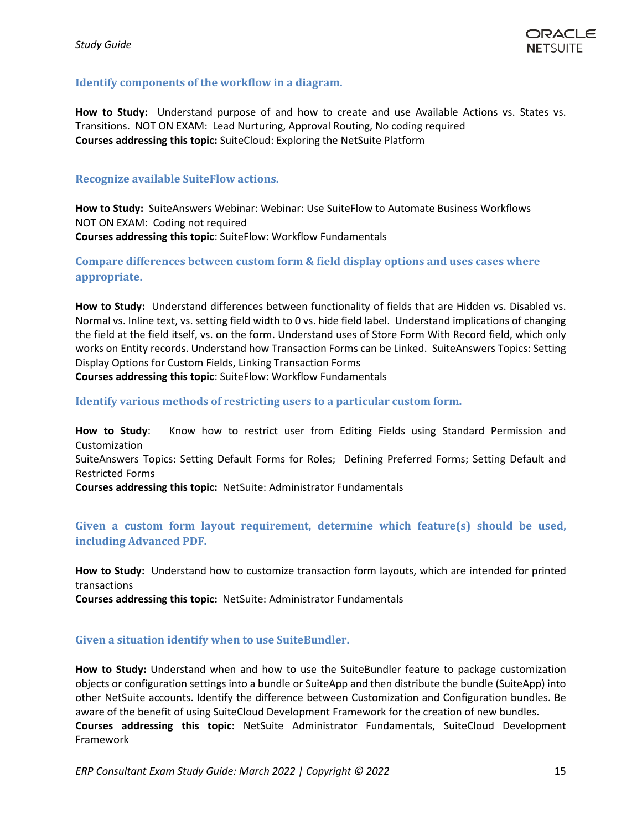### <span id="page-14-0"></span>**Identify components of the workflow in a diagram.**

**How to Study:** Understand purpose of and how to create and use Available Actions vs. States vs. Transitions. NOT ON EXAM: Lead Nurturing, Approval Routing, No coding required **Courses addressing this topic:** SuiteCloud: Exploring the NetSuite Platform

### <span id="page-14-1"></span>**Recognize available SuiteFlow actions.**

**How to Study:** SuiteAnswers Webinar: Webinar: Use SuiteFlow to Automate Business Workflows NOT ON EXAM: Coding not required **Courses addressing this topic**: SuiteFlow: Workflow Fundamentals

<span id="page-14-2"></span>**Compare differences between custom form & field display options and uses cases where appropriate.** 

**How to Study:** Understand differences between functionality of fields that are Hidden vs. Disabled vs. Normal vs. Inline text, vs. setting field width to 0 vs. hide field label. Understand implications of changing the field at the field itself, vs. on the form. Understand uses of Store Form With Record field, which only works on Entity records. Understand how Transaction Forms can be Linked. SuiteAnswers Topics: Setting Display Options for Custom Fields, Linking Transaction Forms

<span id="page-14-3"></span>**Courses addressing this topic**: SuiteFlow: Workflow Fundamentals

**Identify various methods of restricting users to a particular custom form.**

**How to Study**: Know how to restrict user from Editing Fields using Standard Permission and Customization

SuiteAnswers Topics: Setting Default Forms for Roles; Defining Preferred Forms; Setting Default and Restricted Forms

**Courses addressing this topic:** NetSuite: Administrator Fundamentals

### <span id="page-14-4"></span>**Given a custom form layout requirement, determine which feature(s) should be used, including Advanced PDF.**

**How to Study:** Understand how to customize transaction form layouts, which are intended for printed transactions

**Courses addressing this topic:** NetSuite: Administrator Fundamentals

### <span id="page-14-5"></span>**Given a situation identify when to use SuiteBundler.**

**How to Study:** Understand when and how to use the SuiteBundler feature to package customization objects or configuration settings into a bundle or SuiteApp and then distribute the bundle (SuiteApp) into other NetSuite accounts. Identify the difference between Customization and Configuration bundles. Be aware of the benefit of using SuiteCloud Development Framework for the creation of new bundles. **Courses addressing this topic:** NetSuite Administrator Fundamentals, SuiteCloud Development Framework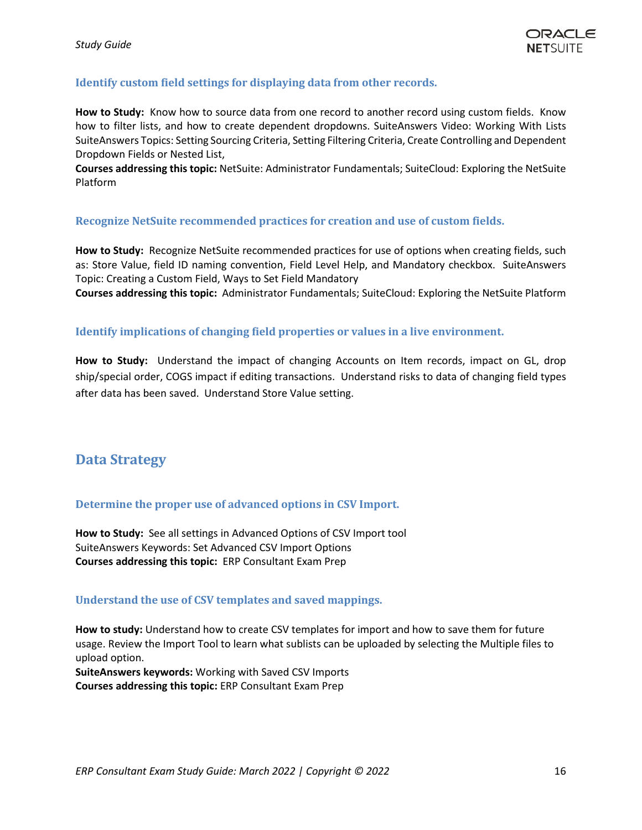### <span id="page-15-0"></span>**Identify custom field settings for displaying data from other records.**

**How to Study:** Know how to source data from one record to another record using custom fields. Know how to filter lists, and how to create dependent dropdowns. SuiteAnswers Video: Working With Lists SuiteAnswers Topics: Setting Sourcing Criteria, Setting Filtering Criteria, Create Controlling and Dependent Dropdown Fields or Nested List,

**Courses addressing this topic:** NetSuite: Administrator Fundamentals; SuiteCloud: Exploring the NetSuite Platform

#### <span id="page-15-1"></span>**Recognize NetSuite recommended practices for creation and use of custom fields.**

**How to Study:** Recognize NetSuite recommended practices for use of options when creating fields, such as: Store Value, field ID naming convention, Field Level Help, and Mandatory checkbox. SuiteAnswers Topic: Creating a Custom Field, Ways to Set Field Mandatory

**Courses addressing this topic:** Administrator Fundamentals; SuiteCloud: Exploring the NetSuite Platform

### <span id="page-15-2"></span>**Identify implications of changing field properties or values in a live environment.**

**How to Study:** Understand the impact of changing Accounts on Item records, impact on GL, drop ship/special order, COGS impact if editing transactions. Understand risks to data of changing field types after data has been saved. Understand Store Value setting.

### <span id="page-15-3"></span>**Data Strategy**

### <span id="page-15-4"></span>**Determine the proper use of advanced options in CSV Import.**

**How to Study:** See all settings in Advanced Options of CSV Import tool SuiteAnswers Keywords: Set Advanced CSV Import Options **Courses addressing this topic:** ERP Consultant Exam Prep

#### <span id="page-15-5"></span>**Understand the use of CSV templates and saved mappings.**

**How to study:** Understand how to create CSV templates for import and how to save them for future usage. Review the Import Tool to learn what sublists can be uploaded by selecting the Multiple files to upload option.

**SuiteAnswers keywords:** Working with Saved CSV Imports **Courses addressing this topic:** ERP Consultant Exam Prep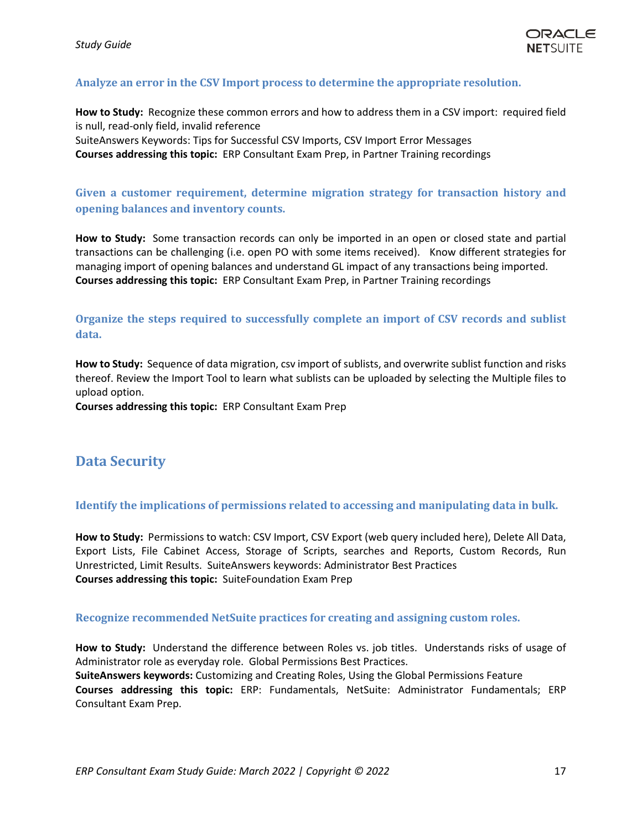

### <span id="page-16-0"></span>**Analyze an error in the CSV Import process to determine the appropriate resolution.**

**How to Study:** Recognize these common errors and how to address them in a CSV import: required field is null, read-only field, invalid reference SuiteAnswers Keywords: Tips for Successful CSV Imports, CSV Import Error Messages **Courses addressing this topic:** ERP Consultant Exam Prep, in Partner Training recordings

### <span id="page-16-1"></span>**Given a customer requirement, determine migration strategy for transaction history and opening balances and inventory counts.**

**How to Study:** Some transaction records can only be imported in an open or closed state and partial transactions can be challenging (i.e. open PO with some items received). Know different strategies for managing import of opening balances and understand GL impact of any transactions being imported. **Courses addressing this topic:** ERP Consultant Exam Prep, in Partner Training recordings

### <span id="page-16-2"></span>**Organize the steps required to successfully complete an import of CSV records and sublist data.**

**How to Study:** Sequence of data migration, csv import of sublists, and overwrite sublist function and risks thereof. Review the Import Tool to learn what sublists can be uploaded by selecting the Multiple files to upload option.

**Courses addressing this topic:** ERP Consultant Exam Prep

### <span id="page-16-3"></span>**Data Security**

### <span id="page-16-4"></span>**Identify the implications of permissions related to accessing and manipulating data in bulk.**

**How to Study:** Permissions to watch: CSV Import, CSV Export (web query included here), Delete All Data, Export Lists, File Cabinet Access, Storage of Scripts, searches and Reports, Custom Records, Run Unrestricted, Limit Results. SuiteAnswers keywords: Administrator Best Practices **Courses addressing this topic:** SuiteFoundation Exam Prep

#### <span id="page-16-5"></span>**Recognize recommended NetSuite practices for creating and assigning custom roles.**

**How to Study:** Understand the difference between Roles vs. job titles. Understands risks of usage of Administrator role as everyday role. Global Permissions Best Practices.

**SuiteAnswers keywords:** Customizing and Creating Roles, Using the Global Permissions Feature **Courses addressing this topic:** ERP: Fundamentals, NetSuite: Administrator Fundamentals; ERP Consultant Exam Prep.